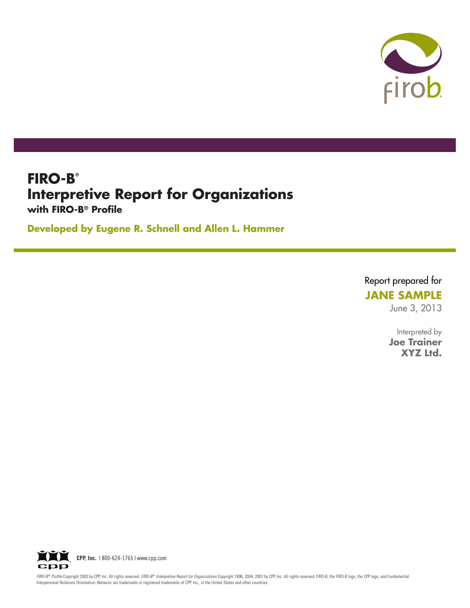

## **FIRO-B® Interpretive Report for Organizations with FIRO-B® Profile**

**Developed by Eugene R. Schnell and Allen L. Hammer**

Report prepared for

## **JANE SAMPLE**

June 3, 2013

Interpreted by **Joe Trainer XYZ Ltd.**



FIRO-B® Profile Copyright 2003 by CPP, Inc. All rights reserved. FIRO-B® Interpretive Report for Organizations Copyright 1996, 2004, 2007 by CPP, Inc. All rights reserved. FIRO-B, the FIRO-B logo, the CPP logo, and Fundame Interpersonal Relations Orientation–Behavior are trademarks or registered trademarks of CPP, Inc., in the United States and other countries.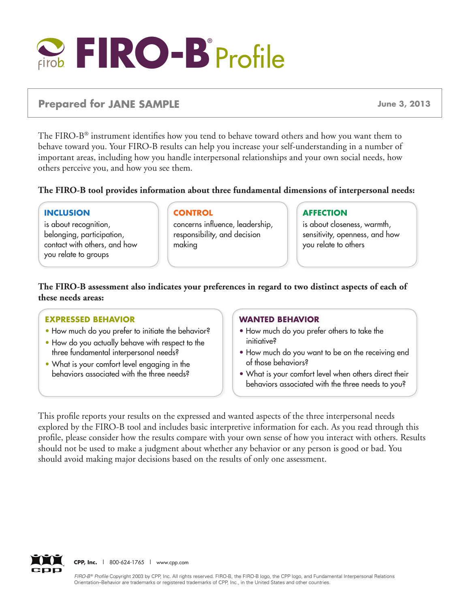

### **Prepared for JANE SAMPLE June 3, 2013**

The FIRO-B® instrument identifies how you tend to behave toward others and how you want them to behave toward you. Your FIRO-B results can help you increase your self-understanding in a number of important areas, including how you handle interpersonal relationships and your own social needs, how others perceive you, and how you see them.

#### **The FIRO-B tool provides information about three fundamental dimensions of interpersonal needs:**

#### **Inclusion**

is about recognition, belonging, participation, contact with others, and how you relate to groups

#### **Control**

concerns influence, leadership, responsibility, and decision making

#### **Affection**

is about closeness, warmth, sensitivity, openness, and how you relate to others

**The FIRO-B assessment also indicates your preferences in regard to two distinct aspects of each of these needs areas:**

#### **Expressed behavior**

- How much do you prefer to initiate the behavior?
- How do you actually behave with respect to the three fundamental interpersonal needs?
- What is your comfort level engaging in the behaviors associated with the three needs?

#### **Wanted behavior**

- How much do you prefer others to take the initiative?
- How much do you want to be on the receiving end of those behaviors?
- What is your comfort level when others direct their behaviors associated with the three needs to you?

This profile reports your results on the expressed and wanted aspects of the three interpersonal needs explored by the FIRO-B tool and includes basic interpretive information for each. As you read through this profile, please consider how the results compare with your own sense of how you interact with others. Results should not be used to make a judgment about whether any behavior or any person is good or bad. You should avoid making major decisions based on the results of only one assessment.



**CPP, Inc.** | 800-624-1765 | www.cpp.com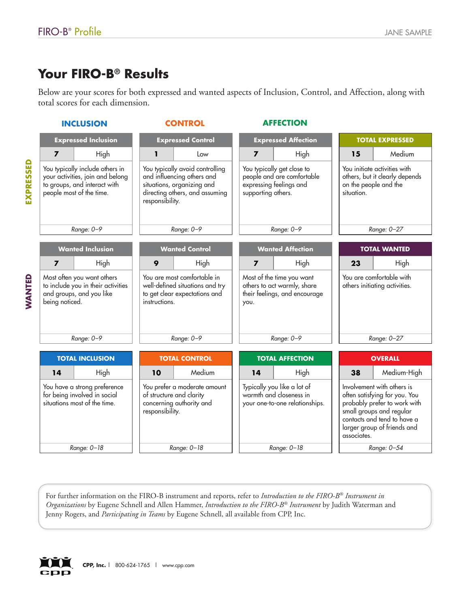# **Your FIRO-B® Results**

|           | FIRO-B <sup>®</sup> Profile                                                                                                     |                                                                                                                                                                                                                                                               | <b>JANE SAMPLE</b>                                                                                                                                                                                   |
|-----------|---------------------------------------------------------------------------------------------------------------------------------|---------------------------------------------------------------------------------------------------------------------------------------------------------------------------------------------------------------------------------------------------------------|------------------------------------------------------------------------------------------------------------------------------------------------------------------------------------------------------|
|           | Your FIRO-B <sup>®</sup> Results<br>total scores for each dimension.                                                            | Below are your scores for both expressed and wanted aspects of Inclusion, Control, and Affection, along with                                                                                                                                                  |                                                                                                                                                                                                      |
|           | <b>INCLUSION</b>                                                                                                                | <b>AFFECTION</b><br><b>CONTROL</b>                                                                                                                                                                                                                            |                                                                                                                                                                                                      |
|           | <b>Expressed Inclusion</b>                                                                                                      | <b>Expressed Control</b><br><b>Expressed Affection</b>                                                                                                                                                                                                        | <b>TOTAL EXPRESSED</b>                                                                                                                                                                               |
|           | $\overline{ }$<br>High                                                                                                          | ı<br>$\overline{ }$<br>High<br>Low                                                                                                                                                                                                                            | Medium<br>15                                                                                                                                                                                         |
| EXPRESSED | You typically include others in<br>your activities, join and belong<br>to groups, and interact with<br>people most of the time. | You typically avoid controlling<br>You typically get close to<br>people and are comfortable<br>and influencing others and<br>situations, organizing and<br>expressing feelings and<br>directing others, and assuming<br>supporting others.<br>responsibility. | You initiate activities with<br>others, but it clearly depends<br>on the people and the<br>situation.                                                                                                |
|           | Range: 0-9                                                                                                                      | Range: 0-9<br>Range: 0-9                                                                                                                                                                                                                                      | Range: 0-27                                                                                                                                                                                          |
|           | <b>Wanted Inclusion</b>                                                                                                         | <b>Wanted Control</b><br><b>Wanted Affection</b>                                                                                                                                                                                                              | <b>TOTAL WANTED</b>                                                                                                                                                                                  |
|           | High<br>$\overline{ }$                                                                                                          | 9<br>High<br>High<br>7                                                                                                                                                                                                                                        | High<br>23                                                                                                                                                                                           |
| MANTED    | Most often you want others<br>to include you in their activities<br>and groups, and you like<br>being noticed.                  | You are most comfortable in<br>Most of the time you want<br>well-defined situations and try<br>others to act warmly, share<br>their feelings, and encourage<br>to get clear expectations and<br>instructions.<br>you.                                         | You are comfortable with<br>others initiating activities.                                                                                                                                            |
|           | Range: 0-9                                                                                                                      | Range: 0-9<br>Range: 0-9                                                                                                                                                                                                                                      | Range: 0-27                                                                                                                                                                                          |
|           | <b>TOTAL INCLUSION</b>                                                                                                          | <b>TOTAL CONTROL</b><br><b>TOTAL AFFECTION</b>                                                                                                                                                                                                                | <b>OVERALL</b>                                                                                                                                                                                       |
|           | 14<br>High                                                                                                                      | Medium<br>10<br>14<br>High                                                                                                                                                                                                                                    | Medium-High<br>38                                                                                                                                                                                    |
|           | You have a strong preference<br>for being involved in social<br>situations most of the time.                                    | Typically you like a lot of<br>You prefer a moderate amount<br>warmth and closeness in<br>of structure and clarity<br>concerning authority and<br>your one-to-one relationships.<br>responsibility.                                                           | Involvement with others is<br>often satisfying for you. You<br>probably prefer to work with<br>small groups and regular<br>contacts and tend to have a<br>larger group of friends and<br>associates. |
|           | Range: 0-18                                                                                                                     | Range: 0-18<br>Range: 0-18                                                                                                                                                                                                                                    | Range: 0-54                                                                                                                                                                                          |

For further information on the FIRO-B instrument and reports, refer to *Introduction to the FIRO-B® Instrument in Organizations* by Eugene Schnell and Allen Hammer, *Introduction to the FIRO-B® Instrument* by Judith Waterman and Jenny Rogers, and *Participating in Teams* by Eugene Schnell, all available from CPP, Inc.

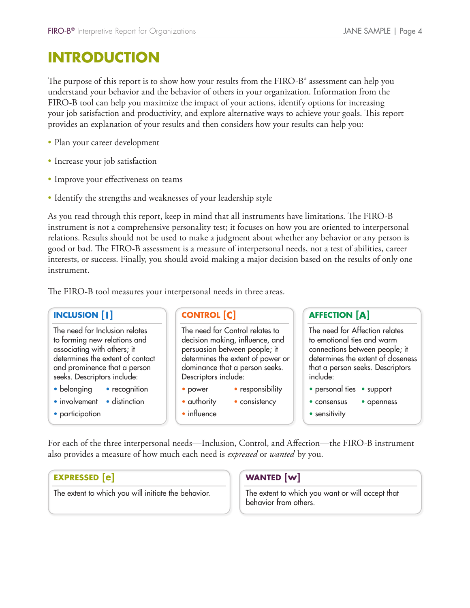# FIRO-B<sup>®</sup> Interpretive Report for Org<br> **INTRODUCTION**

The purpose of this report is to show how your results from the FIRO-B<sup>®</sup> assessment can help you understand your behavior and the behavior of others in your organization. Information from the FIRO-B tool can help you maximize the impact of your actions, identify options for increasing your job satisfaction and productivity, and explore alternative ways to achieve your goals. This report provides an explanation of your results and then considers how your results can help you:

- Plan your career development
- Increase your job satisfaction
- Improve your effectiveness on teams
- Identify the strengths and weaknesses of your leadership style

As you read through this report, keep in mind that all instruments have limitations. The FIRO-B instrument is not a comprehensive personality test; it focuses on how you are oriented to interpersonal relations. Results should not be used to make a judgment about whether any behavior or any person is good or bad. The FIRO-B assessment is a measure of interpersonal needs, not a test of abilities, career interests, or success. Finally, you should avoid making a major decision based on the results of only one instrument. **RO-B<sup>®</sup>** Interpretive<br> **INCLUSION**<br> **INCLUSION**<br> **INCLUSION**<br> **INCLUSION**<br> **INCLUSION**<br> **INCLUSION**<br> **INCLUSION**<br> **INCLUSION**<br> **INCLUSION** France Controllations<br>
The impact of year of the impact of year of stand explore alt<br>
Section and the standard standard and the standing test; it<br>
Controllations are a judging is a measure of<br>
Control [C]<br>
CONTROL [C] JANE S,<br>assessment can he<br>**.** Information fro<br>options for increa<br>ieve your goals. T<br>ts can help you:<br>mitations. The F!<br>are oriented to in<br>ny behavior or ar<br>not a test of abili<br>sed on the results<br>**AFFECTION [A]** Form the FIRO-1<br>
your organizatiantive ways to a<br>
ers how your res<br>
trishow your res<br>
in the struments have<br>
cuses on how you<br>
the struments have<br>
cuses on how your<br>
three areas.<br>
major decision<br>
three areas.<br>
sponsibility

The need for Inclusion relates to forming new relations and associating with others; it determines the extent of contact and prominence that a person seeks. Descriptors include:

- belonging recognition
- involvement distinction
- participation

The need for Control relates to decision making, influence, and persuasion between people; it determines the extent of power or dominance that a person seeks. Descriptors include: The FIRO-B tool measures your interpersonal needs in three areas.<br> **INCLUSION [1]**<br>
The need for Michains and<br>
to forming new relations and<br>
decision making, influence, and<br>
decision making, influence, and<br>
determines the

- power responsibility
- authority consistency
- influence

The need for Affection relates to emotional ties and warm connections between people; it determines the extent of closeness that a person seeks. Descriptors include:

- personal ties support
- consensus openness
- sensitivity

also provides a measure of how much each need is *expressed* or *wanted* by you.

#### **EXPRESSED [e]**

The extent to which you will initiate the behavior.

#### **WANTED** [w]

The extent to which you want or will accept that behavior from others.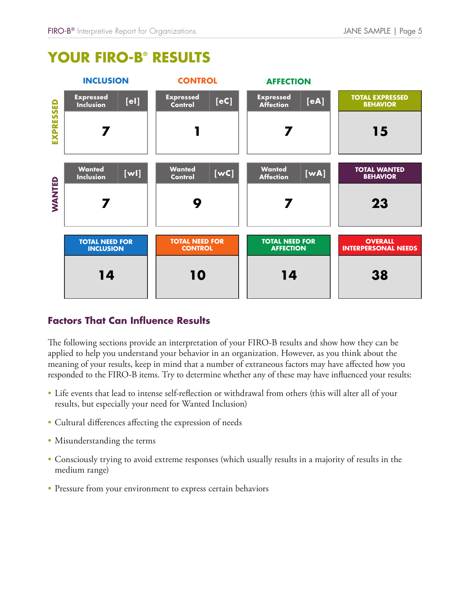

# FIRO-B® Interpretive Report for Organizations<br> **YOUR FIRO-B® RESULTS**

The following sections provide an interpretation of your FIRO-B results and show how they can be applied to help you understand your behavior in an organization. However, as you think about the meaning of your results, keep in mind that a number of extraneous factors may have affected how you responded to the FIRO-B items. Try to determine whether any of these may have influenced your results:

- Life events that lead to intense self-reflection or withdrawal from others (this will alter all of your results, but especially your need for Wanted Inclusion)
- Cultural differences affecting the expression of needs
- Misunderstanding the terms
- Consciously trying to avoid extreme responses (which usually results in a majority of results in the medium range)
- Pressure from your environment to express certain behaviors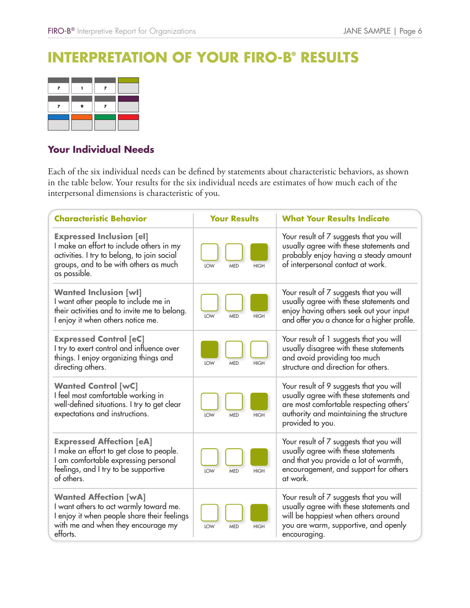# FIRO-B® Interpretive Report for Organizations<br> **INTERPRETATION OF YOUR FIRO-B® RESULTS**

#### **Your Individual Needs**

| $FIRO-B®$ Interpretive Report for Organizations                                                                                                                                                                                                                     |                                  | JANE SAMPLE   Page 6                                                                                                                                                                         |
|---------------------------------------------------------------------------------------------------------------------------------------------------------------------------------------------------------------------------------------------------------------------|----------------------------------|----------------------------------------------------------------------------------------------------------------------------------------------------------------------------------------------|
| ERPRETATION OF YOUR FIRO-B® RESULTS                                                                                                                                                                                                                                 |                                  |                                                                                                                                                                                              |
| 7<br>$\overline{ }$<br>$\mathbf{I}$<br>9<br>7<br>$\overline{ }$                                                                                                                                                                                                     |                                  |                                                                                                                                                                                              |
| Your Individual Needs                                                                                                                                                                                                                                               |                                  |                                                                                                                                                                                              |
| Each of the six individual needs can be defined by statements about characteristic behaviors, as shown<br>in the table below. Your results for the six individual needs are estimates of how much each of the<br>interpersonal dimensions is characteristic of you. |                                  |                                                                                                                                                                                              |
| <b>Characteristic Behavior</b>                                                                                                                                                                                                                                      | <b>Your Results</b>              | <b>What Your Results Indicate</b>                                                                                                                                                            |
| <b>Expressed Inclusion [el]</b><br>I make an effort to include others in my<br>activities. I try to belong, to join social<br>groups, and to be with others as much<br>as possible.                                                                                 | LOW<br><b>MED</b><br><b>HIGH</b> | Your result of 7 suggests that you will<br>usually agree with these statements and<br>probably enjoy having a steady amount<br>of interpersonal contact at work.                             |
| <b>Wanted Inclusion [wl]</b><br>I want other people to include me in<br>their activities and to invite me to belong.<br>I enjoy it when others notice me.                                                                                                           | LOW<br><b>MED</b><br><b>HIGH</b> | Your result of 7 suggests that you will<br>usually agree with these statements and<br>enjoy having others seek out your input<br>and offer you a chance for a higher profile.                |
| <b>Expressed Control [eC]</b><br>I try to exert control and influence over<br>things. I enjoy organizing things and<br>directing others.                                                                                                                            | LOW<br><b>HIGH</b><br><b>MED</b> | Your result of 1 suggests that you will<br>usually disagree with these statements<br>and avoid providing too much<br>structure and direction for others.                                     |
| <b>Wanted Control [wC]</b><br>I feel most comfortable working in<br>well-defined situations. I try to get clear<br>expectations and instructions.                                                                                                                   | LOW<br><b>MED</b><br><b>HIGH</b> | Your result of 9 suggests that you will<br>usually agree with these statements and<br>are most comfortable respecting others'<br>authority and maintaining the structure<br>provided to you. |
| <b>Expressed Affection [eA]</b><br>I make an effort to get close to people.<br>I am comfortable expressing personal<br>feelings, and I try to be supportive<br>of others.                                                                                           | LOW<br><b>HIGH</b><br><b>MED</b> | Your result of 7 suggests that you will<br>usually agree with these statements<br>and that you provide a lot of warmth,<br>encouragement, and support for others<br>at work.                 |
| <b>Wanted Affection [wA]</b><br>I want others to act warmly toward me.<br>I enjoy it when people share their feelings<br>with me and when they encourage my<br>efforts.                                                                                             | LOW<br><b>HIGH</b><br><b>MED</b> | Your result of 7 suggests that you will<br>usually agree with these statements and<br>will be happiest when others around<br>you are warm, supportive, and openly<br>encouraging.            |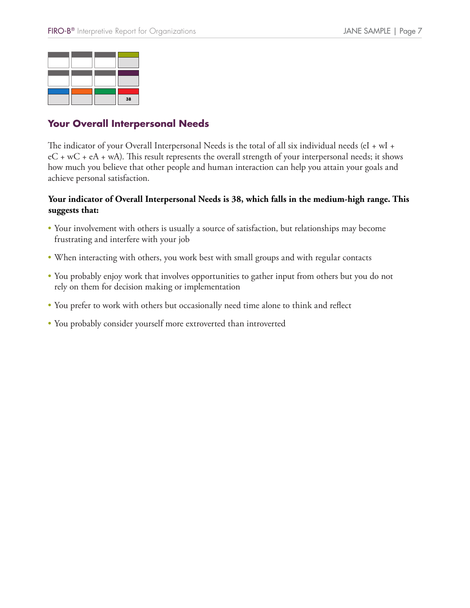|  | 38 |
|--|----|

#### **Your Overall Interpersonal Needs**

The indicator of your Overall Interpersonal Needs is the total of all six individual needs (eI + wI +  $eC + wC + eA + wA$ ). This result represents the overall strength of your interpersonal needs; it shows how much you believe that other people and human interaction can help you attain your goals and achieve personal satisfaction. Four Overall Interpersonal Needs<br>
The indicator of your Overall Interpersonal Needs is the total of all<br>
eC + wC + eA + wA). This result represents the overall strength of y<br>
how much you believe that other people and huma

#### **Your indicator of Overall Interpersonal Needs is 38, which falls in the medium-high range. This suggests that:**

- Your involvement with others is usually a source of satisfaction, but relationships may become frustrating and interfere with your job
- When interacting with others, you work best with small groups and with regular contacts
- You probably enjoy work that involves opportunities to gather input from others but you do not rely on them for decision making or implementation
- You prefer to work with others but occasionally need time alone to think and reflect
-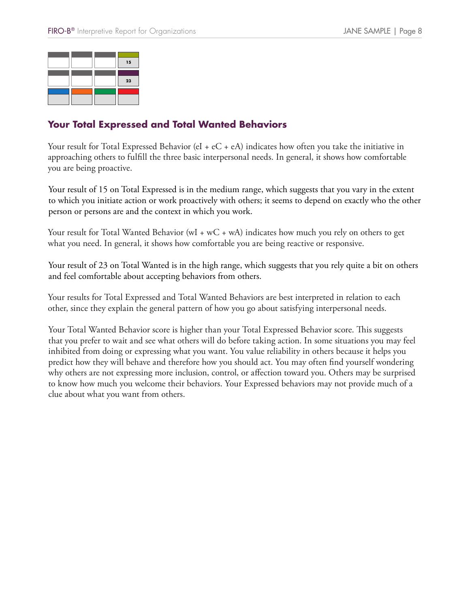

#### **Your Total Expressed and Total Wanted Behaviors**

Your result for Total Expressed Behavior (eI +  $eC + eA$ ) indicates how often you take the initiative in approaching others to fulfill the three basic interpersonal needs. In general, it shows how comfortable you are being proactive.

Your result of 15 on Total Expressed is in the medium range, which suggests that you vary in the extent to which you initiate action or work proactively with others; it seems to depend on exactly who the other person or persons are and the context in which you work.

Your result for Total Wanted Behavior (wI + wC + wA) indicates how much you rely on others to get what you need. In general, it shows how comfortable you are being reactive or responsive.

Your result of 23 on Total Wanted is in the high range, which suggests that you rely quite a bit on others and feel comfortable about accepting behaviors from others.

Your results for Total Expressed and Total Wanted Behaviors are best interpreted in relation to each other, since they explain the general pattern of how you go about satisfying interpersonal needs.

Your Total Wanted Behavior score is higher than your Total Expressed Behavior score. This suggests that you prefer to wait and see what others will do before taking action. In some situations you may feel inhibited from doing or expressing what you want. You value reliability in others because it helps you predict how they will behave and therefore how you should act. You may often find yourself wondering why others are not expressing more inclusion, control, or affection toward you. Others may be surprised to know how much you welcome their behaviors. Your Expressed behaviors may not provide much of a clue about what you want from others.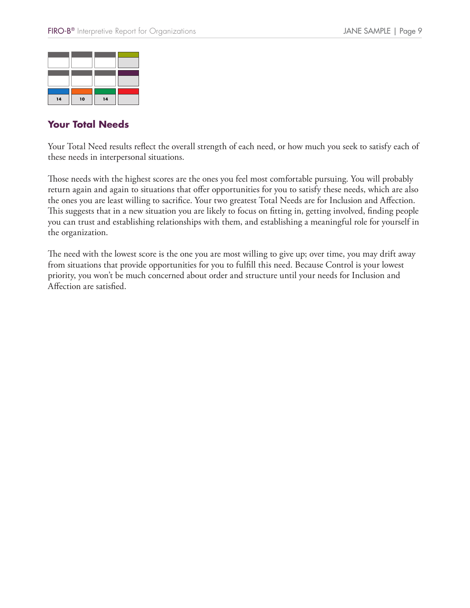| 14 | 10 | 14 |  |
|----|----|----|--|

#### **Your Total Needs**

Your Total Need results reflect the overall strength of each need, or how much you seek to satisfy each of these needs in interpersonal situations.

Those needs with the highest scores are the ones you feel most comfortable pursuing. You will probably return again and again to situations that offer opportunities for you to satisfy these needs, which are also the ones you are least willing to sacrifice. Your two greatest Total Needs are for Inclusion and Affection. This suggests that in a new situation you are likely to focus on fitting in, getting involved, finding people you can trust and establishing relationships with them, and establishing a meaningful role for yourself in the organization.

The need with the lowest score is the one you are most willing to give up; over time, you may drift away from situations that provide opportunities for you to fulfill this need. Because Control is your lowest priority, you won't be much concerned about order and structure until your needs for Inclusion and Affection are satisfied.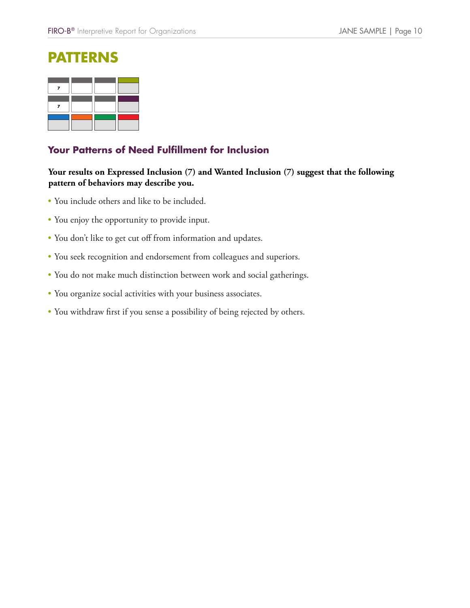## **Patterns**

#### **Your Patterns of Need Fulfillment for Inclusion**

#### **Your results on Expressed Inclusion (7) and Wanted Inclusion (7) suggest that the following pattern of behaviors may describe you.**

- You include others and like to be included.
- You enjoy the opportunity to provide input.
- You don't like to get cut off from information and updates.
- You seek recognition and endorsement from colleagues and superiors.
- You do not make much distinction between work and social gatherings.
- You organize social activities with your business associates.
- You withdraw first if you sense a possibility of being rejected by others.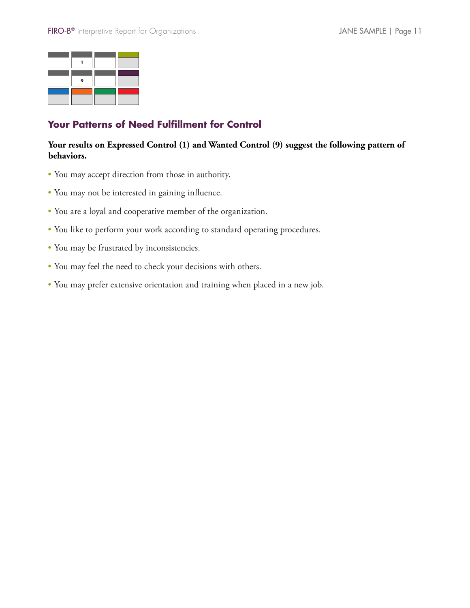

#### **Your Patterns of Need Fulfillment for Control**

#### **Your results on Expressed Control (1) and Wanted Control (9) suggest the following pattern of behaviors.**

- You may accept direction from those in authority.
- You may not be interested in gaining influence.
- You are a loyal and cooperative member of the organization.
- You like to perform your work according to standard operating procedures.
- You may be frustrated by inconsistencies.
- You may feel the need to check your decisions with others.
- You may prefer extensive orientation and training when placed in a new job.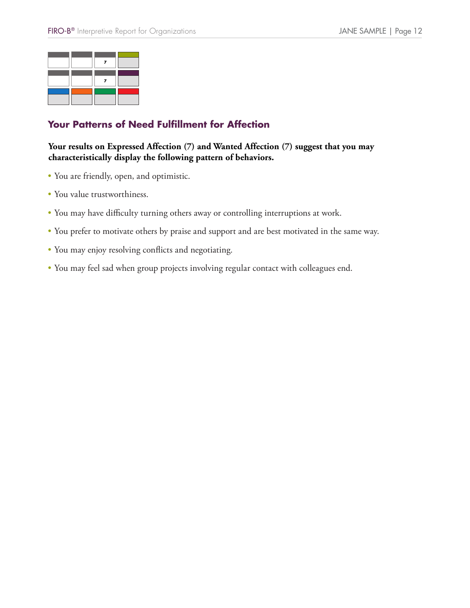#### **Your Patterns of Need Fulfillment for Affection**

#### **Your results on Expressed Affection (7) and Wanted Affection (7) suggest that you may characteristically display the following pattern of behaviors.**

- You are friendly, open, and optimistic.
- You value trustworthiness.
- You may have difficulty turning others away or controlling interruptions at work.
- You prefer to motivate others by praise and support and are best motivated in the same way.
- You may enjoy resolving conflicts and negotiating.
- You may feel sad when group projects involving regular contact with colleagues end.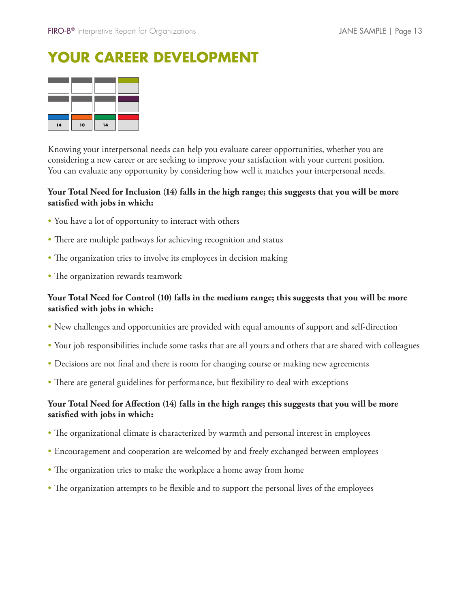# **Your Career Development**

| 14 | 10 | 14 |  |
|----|----|----|--|

Knowing your interpersonal needs can help you evaluate career opportunities, whether you are considering a new career or are seeking to improve your satisfaction with your current position. You can evaluate any opportunity by considering how well it matches your interpersonal needs.

#### **Your Total Need for Inclusion (14) falls in the high range; this suggests that you will be more satisfied with jobs in which:**

- You have a lot of opportunity to interact with others
- There are multiple pathways for achieving recognition and status
- The organization tries to involve its employees in decision making
- The organization rewards teamwork

#### **Your Total Need for Control (10) falls in the medium range; this suggests that you will be more satisfied with jobs in which:**

- New challenges and opportunities are provided with equal amounts of support and self-direction
- Your job responsibilities include some tasks that are all yours and others that are shared with colleagues
- Decisions are not final and there is room for changing course or making new agreements
- There are general guidelines for performance, but flexibility to deal with exceptions

#### **Your Total Need for Affection (14) falls in the high range; this suggests that you will be more satisfied with jobs in which:**

- The organizational climate is characterized by warmth and personal interest in employees
- Encouragement and cooperation are welcomed by and freely exchanged between employees
- The organization tries to make the workplace a home away from home
- The organization attempts to be flexible and to support the personal lives of the employees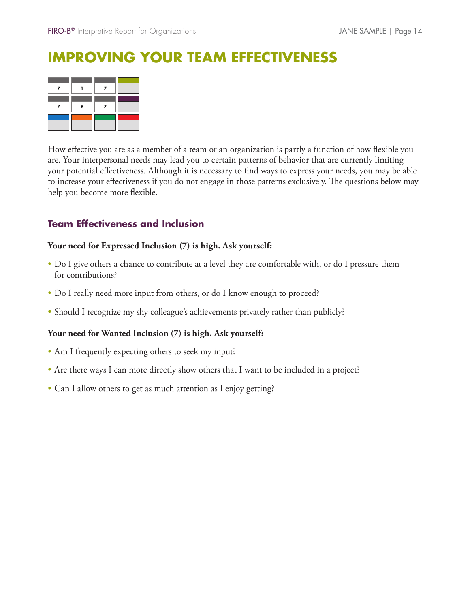How effective you are as a member of a team or an organization is partly a function of how flexible you are. Your interpersonal needs may lead you to certain patterns of behavior that are currently limiting your potential effectiveness. Although it is necessary to find ways to express your needs, you may be able to increase your effectiveness if you do not engage in those patterns exclusively. The questions below may help you become more flexible. FIRO-B<sup>®</sup> Interpretive Report for Organizations<br> **IMPROVING YOUR TEAM EFFECTIVENE**<br>
The strategy of the strategy of a team or an organization is partly a function<br>
Theoretic you are as a member of a team or an organization

#### **Your need for Expressed Inclusion (7) is high. Ask yourself:**

- Do I give others a chance to contribute at a level they are comfortable with, or do I pressure them for contributions?
- Do I really need more input from others, or do I know enough to proceed?
- Should I recognize my shy colleague's achievements privately rather than publicly?

#### **Your need for Wanted Inclusion (7) is high. Ask yourself:**

- Am I frequently expecting others to seek my input?
- Are there ways I can more directly show others that I want to be included in a project?
- Can I allow others to get as much attention as I enjoy getting?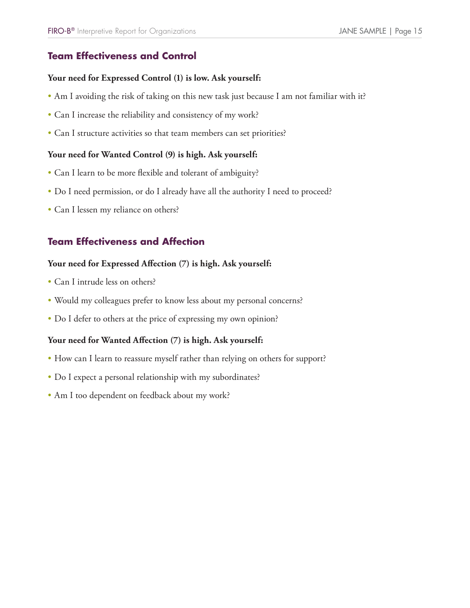# **FIRO-B®** Interpretive Report for Organizations<br>**Team Effectiveness and Control** FIRO-B<sup>®</sup> Interpretive Report for Organizations<br> **Team Effectiveness and Control**<br>
Your need for Expressed Control (1) is lov<br>
• Am I avoiding the risk of taking on this ne<br>
• Can I increase the reliability and consisten<br>

#### **Your need for Expressed Control (1) is low. Ask yourself:**

- Am I avoiding the risk of taking on this new task just because I am not familiar with it?
- Can I increase the reliability and consistency of my work?
- Can I structure activities so that team members can set priorities?

#### **Your need for Wanted Control (9) is high. Ask yourself:**

- Can I learn to be more flexible and tolerant of ambiguity?
- Do I need permission, or do I already have all the authority I need to proceed?
- Can I lessen my reliance on others?

#### **Your need for Expressed Affection (7) is high. Ask yourself:**

- Can I intrude less on others?
- Would my colleagues prefer to know less about my personal concerns?
- Do I defer to others at the price of expressing my own opinion?

#### **Your need for Wanted Affection (7) is high. Ask yourself:**

- How can I learn to reassure myself rather than relying on others for support?
- Do I expect a personal relationship with my subordinates?
- Am I too dependent on feedback about my work?